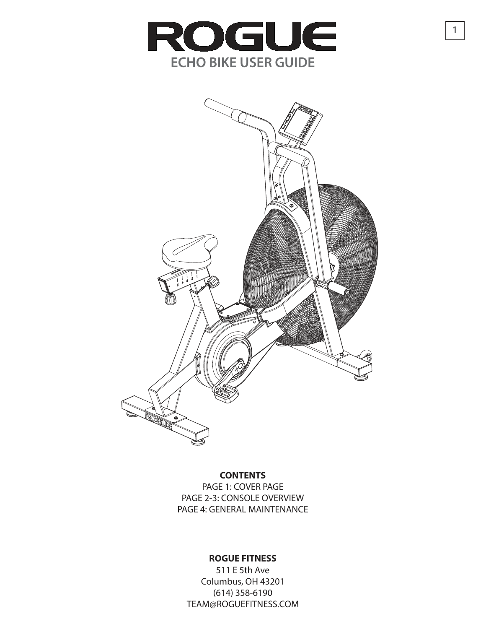

**1**



### **CONTENTS**

PAGE 1: COVER PAGE PAGE 2-3: CONSOLE OVERVIEW PAGE 4: GENERAL MAINTENANCE

### **ROGUE FITNESS**

511 E 5th Ave Columbus, OH 43201 (614) 358-6190 TEAM@ROGUEFITNESS.COM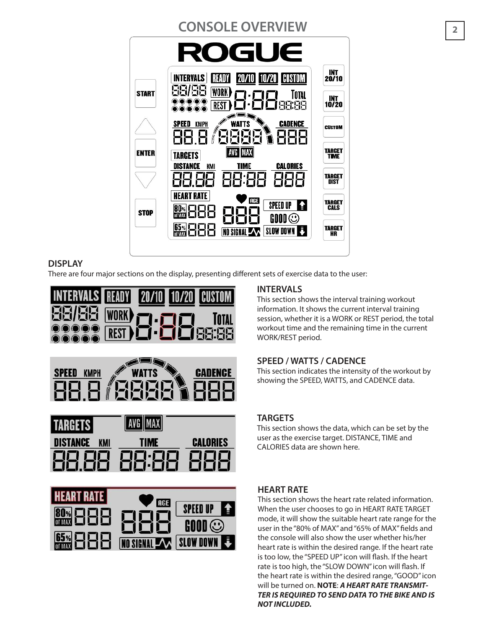#### **CONSOLE OVERVIEW <sup>2</sup>** ROGUE INT<br>20/10 **INTERVALS READY** | 10/20 | CUSTOM 99/99 WORK **START** TOTAL INT<br>10/20 **BB:BB** REST **WATTS SPEED KMPH CADENCE CUSTOM TARGET<br>TIME ENTER** I AVG IMAX TARGETS **TIME DISTANCE** KMI **CALORIES TARGET** 88 888 **DIST HEART RATE ATHE TARGET** SPEED UP & **80% 888** CALS **STOP**  $\mathfrak{g}$  and  $\odot$ 88  $rac{65}{\text{m}}$ **TARGET** NO SIGNAL A SLOW DOWN HR

## **DISPLAY**

There are four major sections on the display, presenting different sets of exercise data to the user:





| TARGETS I             |             |          |
|-----------------------|-------------|----------|
| ISTANCE<br><b>KMI</b> | <b>TIME</b> | CALORIES |
| 사기<br>Ж               |             |          |



## **INTERVALS**

This section shows the interval training workout information. It shows the current interval training session, whether it is a WORK or REST period, the total workout time and the remaining time in the current WORK/REST period.

## **SPEED / WATTS / CADENCE**

This section indicates the intensity of the workout by showing the SPEED, WATTS, and CADENCE data.

## **TARGETS**

This section shows the data, which can be set by the user as the exercise target. DISTANCE, TIME and CALORIES data are shown here.

## **HEART RATE**

This section shows the heart rate related information. When the user chooses to go in HEART RATE TARGET mode, it will show the suitable heart rate range for the user in the "80% of MAX" and "65% of MAX" fields and the console will also show the user whether his/her heart rate is within the desired range. If the heart rate is too low, the "SPEED UP" icon will flash. If the heart rate is too high, the "SLOW DOWN" icon will flash. If the heart rate is within the desired range, "GOOD" icon will be turned on. **NOTE**: **A HEART RATE TRANSMIT-TER IS REQUIRED TO SEND DATA TO THE BIKE AND IS NOT INCLUDED.**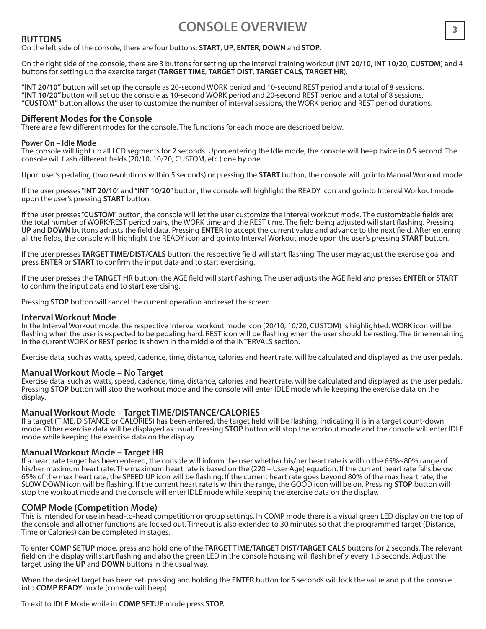# **CONSOLE OVERVIEW**

#### **BUTTONS**

On the left side of the console, there are four buttons: **START**, **UP**, **ENTER**, **DOWN** and **STOP**.

On the right side of the console, there are 3 buttons for setting up the interval training workout (**INT 20/10**, **INT 10/20**, **CUSTOM**) and 4 buttons for setting up the exercise target (**TARGET TIME**, **TARGET DIST**, **TARGET CALS**, **TARGET HR**).

**"INT 20/10"** button will set up the console as 20-second WORK period and 10-second REST period and a total of 8 sessions. **"INT 10/20"** button will set up the console as 10-second WORK period and 20-second REST period and a total of 8 sessions. **"CUSTOM"** button allows the user to customize the number of interval sessions, the WORK period and REST period durations.

#### **Different Modes for the Console**

There are a few different modes for the console. The functions for each mode are described below.

#### **Power On – Idle Mode**

The console will light up all LCD segments for 2 seconds. Upon entering the Idle mode, the console will beep twice in 0.5 second. The console will flash different fields (20/10, 10/20, CUSTOM, etc.) one by one.

Upon user's pedaling (two revolutions within 5 seconds) or pressing the **START** button, the console will go into Manual Workout mode.

If the user presses "**INT 20/10**" and "**INT 10/20**" button, the console will highlight the READY icon and go into Interval Workout mode upon the user's pressing **START** button.

If the user presses "**CUSTOM**" button, the console will let the user customize the interval workout mode. The customizable fields are: the total number of WORK/REST period pairs, the WORK time and the REST time. The field being adjusted will start flashing. Pressing **UP** and **DOWN** buttons adjusts the field data. Pressing **ENTER** to accept the current value and advance to the next field. After entering all the fields, the console will highlight the READY icon and go into Interval Workout mode upon the user's pressing **START** button.

If the user presses **TARGET TIME/DIST/CALS** button, the respective field will start flashing. The user may adjust the exercise goal and press **ENTER** or **START** to confirm the input data and to start exercising.

If the user presses the **TARGET HR** button, the AGE field will start flashing. The user adjusts the AGE field and presses **ENTER** or **START** to confirm the input data and to start exercising.

Pressing **STOP** button will cancel the current operation and reset the screen.

#### **Interval Workout Mode**

In the Interval Workout mode, the respective interval workout mode icon (20/10, 10/20, CUSTOM) is highlighted. WORK icon will be flashing when the user is expected to be pedaling hard. REST icon will be flashing when the user should be resting. The time remaining in the current WORK or REST period is shown in the middle of the INTERVALS section.

Exercise data, such as watts, speed, cadence, time, distance, calories and heart rate, will be calculated and displayed as the user pedals.

#### **Manual Workout Mode – No Target**

Exercise data, such as watts, speed, cadence, time, distance, calories and heart rate, will be calculated and displayed as the user pedals. Pressing **STOP** button will stop the workout mode and the console will enter IDLE mode while keeping the exercise data on the display.

#### **Manual Workout Mode – Target TIME/DISTANCE/CALORIES**

If a target (TIME, DISTANCE or CALORIES) has been entered, the target field will be flashing, indicating it is in a target count-down mode. Other exercise data will be displayed as usual. Pressing **STOP** button will stop the workout mode and the console will enter IDLE mode while keeping the exercise data on the display.

#### **Manual Workout Mode – Target HR**

If a heart rate target has been entered, the console will inform the user whether his/her heart rate is within the 65%~80% range of his/her maximum heart rate. The maximum heart rate is based on the (220 – User Age) equation. If the current heart rate falls below 65% of the max heart rate, the SPEED UP icon will be flashing. If the current heart rate goes beyond 80% of the max heart rate, the SLOW DOWN icon will be flashing. If the current heart rate is within the range, the GOOD icon will be on. Pressing **STOP** button will stop the workout mode and the console will enter IDLE mode while keeping the exercise data on the display.

#### **COMP Mode (Competition Mode)**

This is intended for use in head-to-head competition or group settings. In COMP mode there is a visual green LED display on the top of the console and all other functions are locked out. Timeout is also extended to 30 minutes so that the programmed target (Distance, Time or Calories) can be completed in stages.

To enter **COMP SETUP** mode, press and hold one of the **TARGET TIME/TARGET DIST/TARGET CALS** buttons for 2 seconds. The relevant field on the display will start flashing and also the green LED in the console housing will flash briefly every 1.5 seconds. Adjust the target using the **UP** and **DOWN** buttons in the usual way.

When the desired target has been set, pressing and holding the **ENTER** button for 5 seconds will lock the value and put the console into **COMP READY** mode (console will beep).

To exit to **IDLE** Mode while in **COMP SETUP** mode press **STOP.**